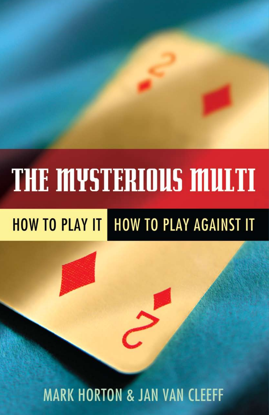# **THE MYSTERIOUS MULTI**

## **HOW TO PLAY IT HOW TO PLAY AGAINST IT**

## **MARK HORTON & JAN VAN CLEEFF**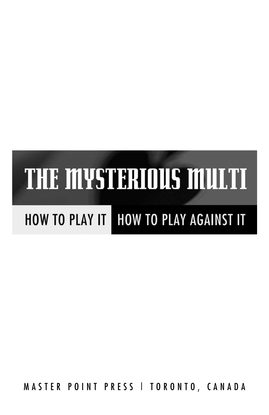# THE MYSTERIOUS MULTI **HOW TO PLAY IT HOW TO PLAY AGAINST IT**

MASTER POINT PRESS | TORONTO, CANADA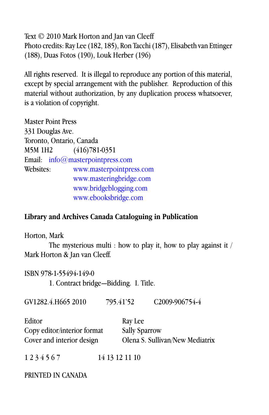Text © 2010 Mark Horton and Jan van Cleeff Photo credits: Ray Lee (182, 185), Ron Tacchi (187), Elisabeth van Ettinger (188), Duas Fotos (190), Louk Herber (196)

All rights reserved. It is illegal to reproduce any portion of this material, except by special arrangement with the publisher. Reproduction of this material without authorization, by any duplication process whatsoever, is a violation of copyright.

Master Point Press 331 Douglas Ave. Toronto, Ontario, Canada M5M 1H2 (416)781-0351 Email: info@masterpointpress.com Websites: www.masterpointpress.com www.masteringbridge.com www.bridgeblogging.com www.ebooksbridge.com

### **Library and Archives Canada Cataloguing in Publication**

#### Horton, Mark

The mysterious multi : how to play it, how to play against it / Mark Horton & Jan van Cleeff.

ISBN 978-1-55494-149-0

1. Contract bridge—Bidding. I. Title.

| GV1282.4.H665 2010          | 795.41'52            | C2009-906754-4                  |
|-----------------------------|----------------------|---------------------------------|
| Editor                      | Ray Lee              |                                 |
| Copy editor/interior format | <b>Sally Sparrow</b> |                                 |
| Cover and interior design   |                      | Olena S. Sullivan/New Mediatrix |

1 2 3 4 5 6 7 14 13 12 11 10

#### PRINTED IN CANADA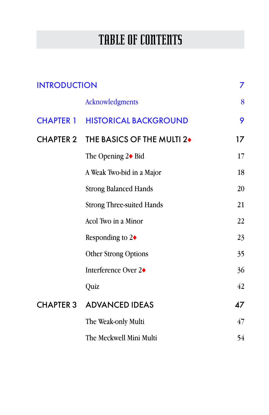## Table of Contents

| <b>INTRODUCTION</b> |                                        | 7       |
|---------------------|----------------------------------------|---------|
|                     | Acknowledgments                        | 8       |
|                     | <b>CHAPTER 1 HISTORICAL BACKGROUND</b> | 9       |
|                     | CHAPTER 2 THE BASICS OF THE MULTI 2+   | $17 \,$ |
|                     | The Opening $2\blacklozenge$ Bid       | 17      |
|                     | A Weak Two-bid in a Major              | 18      |
|                     | <b>Strong Balanced Hands</b>           | 20      |
|                     | <b>Strong Three-suited Hands</b>       | 21      |
|                     | Acol Two in a Minor                    | 22      |
|                     | Responding to $2\blacklozenge$         | 23      |
|                     | Other Strong Options                   | 35      |
|                     | Interference Over 2◆                   | 36      |
|                     | Quiz                                   | 42      |
|                     | <b>CHAPTER 3 ADVANCED IDEAS</b>        | 47      |
|                     | The Weak-only Multi                    | 47      |
|                     | The Meckwell Mini Multi                | 54      |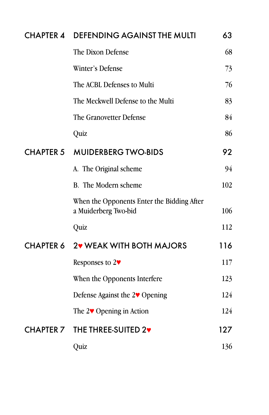| <b>CHAPTER 4</b> | <b>DEFENDING AGAINST THE MULTI</b>                                 | 63  |
|------------------|--------------------------------------------------------------------|-----|
|                  | The Dixon Defense                                                  | 68  |
|                  | Winter's Defense                                                   | 73  |
|                  | The ACBL Defenses to Multi                                         | 76  |
|                  | The Meckwell Defense to the Multi                                  | 83  |
|                  | The Granovetter Defense                                            | 84  |
|                  | Quiz                                                               | 86  |
|                  | <b>CHAPTER 5 MUIDERBERG TWO-BIDS</b>                               | 92  |
|                  | A. The Original scheme                                             | 94  |
|                  | B. The Modern scheme                                               | 102 |
|                  | When the Opponents Enter the Bidding After<br>a Muiderberg Two-bid | 106 |
|                  | Quiz                                                               | 112 |
| <b>CHAPTER 6</b> | <b>2. WEAK WITH BOTH MAJORS</b>                                    | 116 |
|                  | Responses to $2\blacktriangledown$                                 | 117 |
|                  | When the Opponents Interfere                                       | 123 |
|                  | Defense Against the 2 <sup><math>\bullet</math></sup> Opening      | 124 |
|                  | The $2\blacktriangledown$ Opening in Action                        | 124 |
| <b>CHAPTER 7</b> | THE THREE-SUITED 2v                                                | 127 |
|                  | Quiz                                                               | 136 |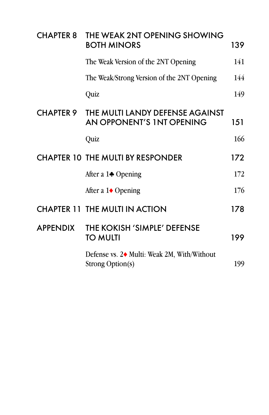| <b>CHAPTER 8</b> | THE WEAK 2NT OPENING SHOWING<br><b>BOTH MINORS</b>                  | 139 |
|------------------|---------------------------------------------------------------------|-----|
|                  | The Weak Version of the 2NT Opening                                 | 141 |
|                  | The Weak/Strong Version of the 2NT Opening                          | 144 |
|                  | Quiz                                                                | 149 |
| <b>CHAPTER 9</b> | THE MULTI LANDY DEFENSE AGAINST<br><b>AN OPPONENT'S 1NT OPENING</b> | 151 |
|                  | Quiz                                                                | 166 |
|                  | <b>CHAPTER 10 THE MULTI BY RESPONDER</b>                            | 172 |
|                  | After a $1\spadesuit$ Opening                                       | 172 |
|                  | After a 1◆ Opening                                                  | 176 |
|                  | <b>CHAPTER 11 THE MULTI IN ACTION</b>                               | 178 |
| <b>APPENDIX</b>  | THE KOKISH 'SIMPLE' DEFENSE<br><b>TO MULTI</b>                      | 199 |
|                  | Defense vs. 2◆ Multi: Weak 2M, With/Without<br>Strong Option(s)     | 199 |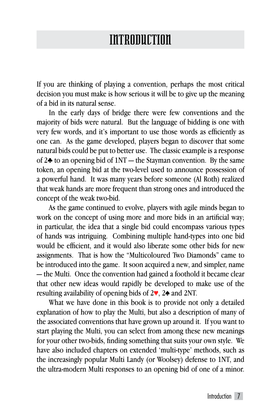## **INTRODUCTION**

<span id="page-7-0"></span>If you are thinking of playing a convention, perhaps the most critical decision you must make is how serious it will be to give up the meaning of a bid in its natural sense.

In the early days of bridge there were few conventions and the majority of bids were natural. But the language of bidding is one with very few words, and it's important to use those words as efficiently as one can. As the game developed, players began to discover that some natural bids could be put to better use. The classic example is a response of  $2\spadesuit$  to an opening bid of  $1NT$  — the Stayman convention. By the same token, an opening bid at the two-level used to announce possession of a powerful hand. It was many years before someone (Al Roth) realized that weak hands are more frequent than strong ones and introduced the concept of the weak two-bid.

As the game continued to evolve, players with agile minds began to work on the concept of using more and more bids in an artificial way; in particular, the idea that a single bid could encompass various types of hands was intriguing. Combining multiple hand-types into one bid would be efficient, and it would also liberate some other bids for new assignments. That is how the "Multicoloured Two Diamonds" came to be introduced into the game. It soon acquired a new, and simpler, name — the Multi. Once the convention had gained a foothold it became clear that other new ideas would rapidly be developed to make use of the resulting availability of opening bids of  $2\blacktriangledown$ ,  $2\blacktriangleleft$  and  $2NT$ .

What we have done in this book is to provide not only a detailed explanation of how to play the Multi, but also a description of many of the associated conventions that have grown up around it. If you want to start playing the Multi, you can select from among these new meanings for your other two-bids, finding something that suits your own style. We have also included chapters on extended 'multi-type' methods, such as the increasingly popular Multi Landy (or Woolsey) defense to 1NT, and the ultra-modern Multi responses to an opening bid of one of a minor.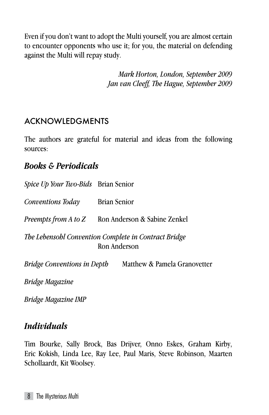<span id="page-8-0"></span>Even if you don't want to adopt the Multi yourself, you are almost certain to encounter opponents who use it; for you, the material on defending against the Multi will repay study.

> *Mark Horton, London, September 2009 Jan van Cleeff, The Hague, September 2009*

## Acknowledgments

The authors are grateful for material and ideas from the following sources:

## *Books & Periodicals*

| Spice Up Your Two-Bids Brian Senior                  |                     |                              |  |  |
|------------------------------------------------------|---------------------|------------------------------|--|--|
| Conventions Today                                    | <b>Brian Senior</b> |                              |  |  |
| Preempts from A to Z                                 |                     | Ron Anderson & Sabine Zenkel |  |  |
| The Lebensohl Convention Complete in Contract Bridge |                     | Ron Anderson                 |  |  |
| Bridge Conventions in Depth                          |                     | Matthew & Pamela Granovetter |  |  |
| Bridge Magazine                                      |                     |                              |  |  |
|                                                      |                     |                              |  |  |

*Bridge Magazine IMP*

## *Individuals*

Tim Bourke, Sally Brock, Bas Drijver, Onno Eskes, Graham Kirby, Eric Kokish, Linda Lee, Ray Lee, Paul Maris, Steve Robinson, Maarten Schollaardt, Kit Woolsey.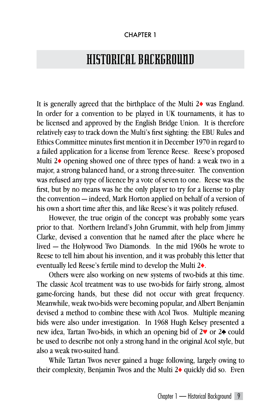#### CHAPTER 1

## <span id="page-9-0"></span>Historical Background

It is generally agreed that the birthplace of the Multi  $2\bullet$  was England. In order for a convention to be played in UK tournaments, it has to be licensed and approved by the English Bridge Union. It is therefore relatively easy to track down the Multi's first sighting: the EBU Rules and Ethics Committee minutes first mention it in December 1970 in regard to a failed application for a license from Terence Reese. Reese's proposed Multi  $2\bullet$  opening showed one of three types of hand: a weak two in a major, a strong balanced hand, or a strong three-suiter. The convention was refused any type of licence by a vote of seven to one. Reese was the first, but by no means was he the only player to try for a license to play the convention — indeed, Mark Horton applied on behalf of a version of his own a short time after this, and like Reese's it was politely refused.

However, the true origin of the concept was probably some years prior to that. Northern Ireland's John Grummit, with help from Jimmy Clarke, devised a convention that he named after the place where he lived — the Holywood Two Diamonds. In the mid 1960s he wrote to Reese to tell him about his invention, and it was probably this letter that eventually led Reese's fertile mind to develop the Multi 2<sup>.</sup>

Others were also working on new systems of two-bids at this time. The classic Acol treatment was to use two-bids for fairly strong, almost game-forcing hands, but these did not occur with great frequency. Meanwhile, weak two-bids were becoming popular, and Albert Benjamin devised a method to combine these with Acol Twos. Multiple meaning bids were also under investigation. In 1968 Hugh Kelsey presented a new idea, Tartan Two-bids, in which an opening bid of  $2\blacktriangledown$  or  $2\blacktriangleleft$  could be used to describe not only a strong hand in the original Acol style, but also a weak two-suited hand.

While Tartan Twos never gained a huge following, largely owing to their complexity, Benjamin Twos and the Multi  $2\bullet$  quickly did so. Even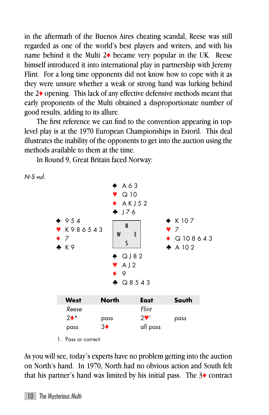in the aftermath of the Buenos Aires cheating scandal, Reese was still regarded as one of the world's best players and writers, and with his name behind it the Multi  $2\blacklozenge$  became very popular in the UK. Reese himself introduced it into international play in partnership with Jeremy Flint. For a long time opponents did not know how to cope with it as they were unsure whether a weak or strong hand was lurking behind the  $2\bullet$  opening. This lack of any effective defensive methods meant that early proponents of the Multi obtained a disproportionate number of good results, adding to its allure.

The first reference we can find to the convention appearing in toplevel play is at the 1970 European Championships in Estoril. This deal illustrates the inability of the opponents to get into the auction using the methods available to them at the time.

In Round 9, Great Britain faced Norway:

*N-S vul.*



1. Pass or correct.

As you will see, today's experts have no problem getting into the auction on North's hand. In 1970, North had no obvious action and South felt that his partner's hand was limited by his initial pass. The  $3\bullet$  contract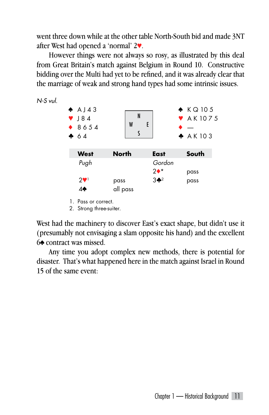went three down while at the other table North-South bid and made 3NT after West had opened a 'normal' 2..

However things were not always so rosy, as illustrated by this deal from Great Britain's match against Belgium in Round 10. Constructive bidding over the Multi had yet to be refined, and it was already clear that the marriage of weak and strong hand types had some intrinsic issues.

| N-S vul. | $A$ A J 4 3<br>$\blacktriangledown$ J 8 4<br>48654<br>464 | N<br>W<br>S  | E              | $\triangle$ KQ 105<br>♥ AK1075<br>$A$ A K 10 3 |
|----------|-----------------------------------------------------------|--------------|----------------|------------------------------------------------|
|          | <b>West</b>                                               | <b>North</b> | East           | South                                          |
|          | Pugh                                                      |              | Gordon         |                                                |
|          |                                                           |              | $2^{\bullet*}$ | pass                                           |
|          | $2$ <sup>V</sup>                                          | pass         | $3 + 2$        | pass                                           |
|          | 4♠                                                        | all pass     |                |                                                |
|          | 1. Pass or correct.<br>2. Strong three-suiter.            |              |                |                                                |

West had the machinery to discover East's exact shape, but didn't use it (presumably not envisaging a slam opposite his hand) and the excellent 6<sup>\*</sup> contract was missed.

Any time you adopt complex new methods, there is potential for disaster. That's what happened here in the match against Israel in Round 15 of the same event: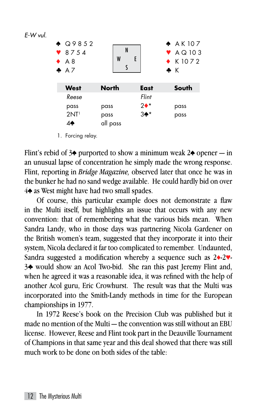| -w | vul. |
|----|------|
|----|------|

| $\bullet$ Q9852<br>$\sqrt{8754}$<br>$\triangle$ A 8<br>$A \land 7$ | N<br>W       | E              | A K 107<br>$A$ Q103<br>$\bullet$ K1072<br>$\clubsuit$ K |
|--------------------------------------------------------------------|--------------|----------------|---------------------------------------------------------|
| West                                                               | <b>North</b> | East           | South                                                   |
| Reese                                                              |              | Flint          |                                                         |
| pass                                                               | pass         | $2^{\bullet*}$ | pass                                                    |
| 2NT <sup>1</sup>                                                   | pass         | 3♠*            | pass                                                    |
| 4♠                                                                 | all pass     |                |                                                         |

1. Forcing relay.

Flint's rebid of  $3\spadesuit$  purported to show a minimum weak  $2\spadesuit$  opener — in an unusual lapse of concentration he simply made the wrong response. Flint, reporting in *Bridge Magazine,* observed later that once he was in the bunker he had no sand wedge available. He could hardly bid on over 4 as West might have had two small spades.

Of course, this particular example does not demonstrate a flaw in the Multi itself, but highlights an issue that occurs with any new convention: that of remembering what the various bids mean. When Sandra Landy, who in those days was partnering Nicola Gardener on the British women's team, suggested that they incorporate it into their system, Nicola declared it far too complicated to remember. Undaunted, Sandra suggested a modification whereby a sequence such as  $2\rightarrow 2\Psi$ . 3<sup>+</sup> would show an Acol Two-bid. She ran this past Jeremy Flint and, when he agreed it was a reasonable idea, it was refined with the help of another Acol guru, Eric Crowhurst. The result was that the Multi was incorporated into the Smith-Landy methods in time for the European championships in 1977.

In 1972 Reese's book on the Precision Club was published but it made no mention of the Multi — the convention was still without an EBU license. However, Reese and Flint took part in the Deauville Tournament of Champions in that same year and this deal showed that there was still much work to be done on both sides of the table: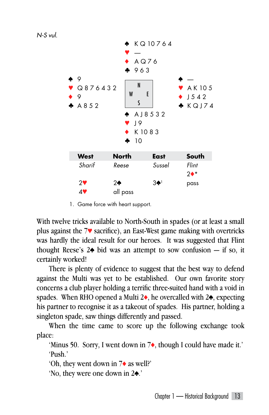*N-S vul.*



1. Game force with heart support.

With twelve tricks available to North-South in spades (or at least a small plus against the  $7\blacktriangledown$  sacrifice), an East-West game making with overtricks was hardly the ideal result for our heroes. It was suggested that Flint thought Reese's  $2\spadesuit$  bid was an attempt to sow confusion — if so, it certainly worked!

There is plenty of evidence to suggest that the best way to defend against the Multi was yet to be established. Our own favorite story concerns a club player holding a terrific three-suited hand with a void in spades. When RHO opened a Multi  $2\bullet$ , he overcalled with  $2\bullet$ , expecting his partner to recognise it as a takeout of spades. His partner, holding a singleton spade, saw things differently and passed.

When the time came to score up the following exchange took place:

'Minus 50. Sorry, I went down in  $7\bullet$ , though I could have made it.' 'Push.'

'Oh, they went down in  $7\blacklozenge$  as well?'

'No, they were one down in  $2\spadesuit$ .'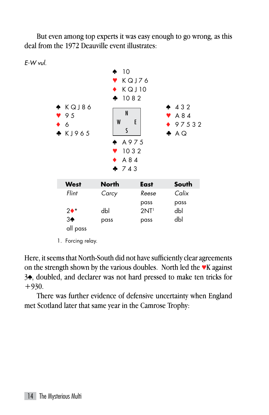But even among top experts it was easy enough to go wrong, as this deal from the 1972 Deauville event illustrates:



1. Forcing relay.

*E-W vul.*

Here, it seems that North-South did not have sufficiently clear agreements on the strength shown by the various doubles. North led the  $\mathbf{v}$ K against  $3\spadesuit$ , doubled, and declarer was not hard pressed to make ten tricks for +930.

There was further evidence of defensive uncertainty when England met Scotland later that same year in the Camrose Trophy: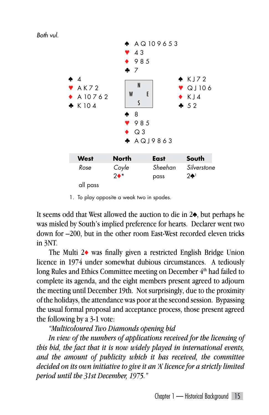*Both vul.*



1. To play opposite a weak two in spades.

It seems odd that West allowed the auction to die in  $2\spadesuit$ , but perhaps he was misled by South's implied preference for hearts. Declarer went two down for –200, but in the other room East-West recorded eleven tricks in 3NT.

The Multi  $2\bullet$  was finally given a restricted English Bridge Union licence in 1974 under somewhat dubious circumstances. A tediously long Rules and Ethics Committee meeting on December 4<sup>th</sup> had failed to complete its agenda, and the eight members present agreed to adjourn the meeting until December 19th. Not surprisingly, due to the proximity of the holidays, the attendance was poor at the second session. Bypassing the usual formal proposal and acceptance process, those present agreed the following by a 3-1 vote:

### *"Multicoloured Two Diamonds opening bid*

*In view of the numbers of applications received for the licensing of this bid, the fact that it is now widely played in international events, and the amount of publicity which it has received, the committee decided on its own initiative to give it an 'A' licence for a strictly limited period until the 31st December, 1975."*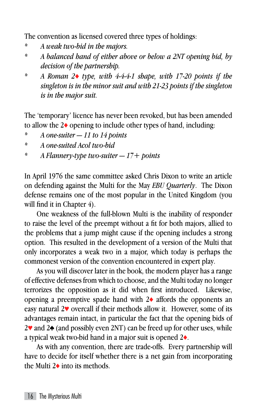The convention as licensed covered three types of holdings:

- *\* A weak two-bid in the majors.*
- *\* A balanced hand of either above or below a 2NT opening bid, by decision of the partnership.*
- *\* A Roman 2 type, with 4-4-4-1 shape, with 17-20 points if the singleton is in the minor suit and with 21-23 points if the singleton is in the major suit.*

The 'temporary' licence has never been revoked, but has been amended to allow the  $2\bullet$  opening to include other types of hand, including:

- *\* A one-suiter 11 to 14 points*
- *\* A one-suited Acol two-bid*
- *\* A Flannery-type two-suiter 17+ points*

In April 1976 the same committee asked Chris Dixon to write an article on defending against the Multi for the May *EBU Quarterly*. The Dixon defense remains one of the most popular in the United Kingdom (you will find it in Chapter 4).

One weakness of the full-blown Multi is the inability of responder to raise the level of the preempt without a fit for both majors, allied to the problems that a jump might cause if the opening includes a strong option. This resulted in the development of a version of the Multi that only incorporates a weak two in a major, which today is perhaps the commonest version of the convention encountered in expert play.

As you will discover later in the book, the modern player has a range of effective defenses from which to choose, and the Multi today no longer terrorizes the opposition as it did when first introduced. Likewise, opening a preemptive spade hand with  $2\blacklozenge$  affords the opponents an easy natural  $2\blacktriangledown$  overcall if their methods allow it. However, some of its advantages remain intact, in particular the fact that the opening bids of  $2\blacktriangledown$  and  $2\blacktriangleleft$  (and possibly even 2NT) can be freed up for other uses, while a typical weak two-bid hand in a major suit is opened 2 $\bullet$ .

As with any convention, there are trade-offs. Every partnership will have to decide for itself whether there is a net gain from incorporating the Multi  $2\bullet$  into its methods.